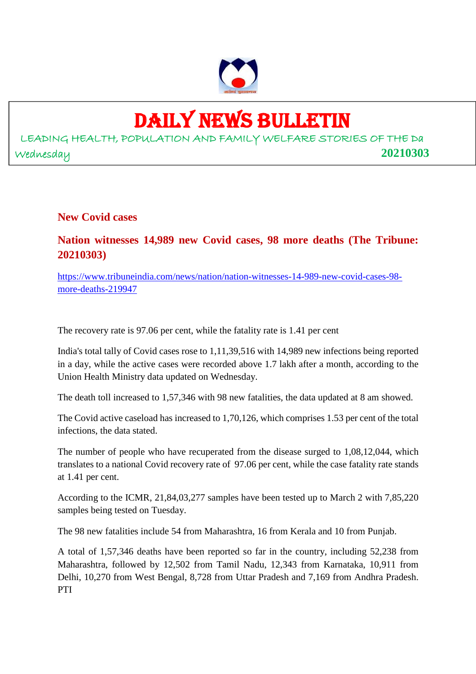

## DAILY NEWS BULLETIN

LEADING HEALTH, POPULATION AND FAMILY WELFARE STORIES OF THE Da Wednesday **20210303**

**New Covid cases**

**Nation witnesses 14,989 new Covid cases, 98 more deaths (The Tribune: 20210303)**

https://www.tribuneindia.com/news/nation/nation-witnesses-14-989-new-covid-cases-98 more-deaths-219947

The recovery rate is 97.06 per cent, while the fatality rate is 1.41 per cent

India's total tally of Covid cases rose to 1,11,39,516 with 14,989 new infections being reported in a day, while the active cases were recorded above 1.7 lakh after a month, according to the Union Health Ministry data updated on Wednesday.

The death toll increased to 1,57,346 with 98 new fatalities, the data updated at 8 am showed.

The Covid active caseload has increased to 1,70,126, which comprises 1.53 per cent of the total infections, the data stated.

The number of people who have recuperated from the disease surged to 1,08,12,044, which translates to a national Covid recovery rate of 97.06 per cent, while the case fatality rate stands at 1.41 per cent.

According to the ICMR, 21,84,03,277 samples have been tested up to March 2 with 7,85,220 samples being tested on Tuesday.

The 98 new fatalities include 54 from Maharashtra, 16 from Kerala and 10 from Punjab.

A total of 1,57,346 deaths have been reported so far in the country, including 52,238 from Maharashtra, followed by 12,502 from Tamil Nadu, 12,343 from Karnataka, 10,911 from Delhi, 10,270 from West Bengal, 8,728 from Uttar Pradesh and 7,169 from Andhra Pradesh. PTI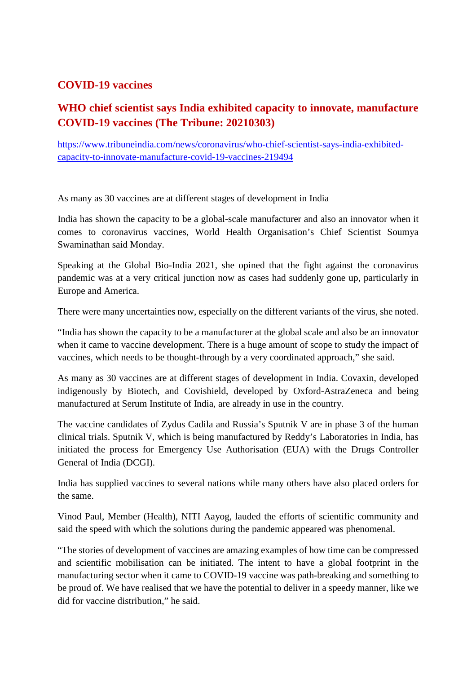#### **COVID-19 vaccines**

#### **WHO chief scientist says India exhibited capacity to innovate, manufacture COVID-19 vaccines (The Tribune: 20210303)**

https://www.tribuneindia.com/news/coronavirus/who-chief-scientist-says-india-exhibitedcapacity-to-innovate-manufacture-covid-19-vaccines-219494

As many as 30 vaccines are at different stages of development in India

India has shown the capacity to be a global-scale manufacturer and also an innovator when it comes to coronavirus vaccines, World Health Organisation's Chief Scientist Soumya Swaminathan said Monday.

Speaking at the Global Bio-India 2021, she opined that the fight against the coronavirus pandemic was at a very critical junction now as cases had suddenly gone up, particularly in Europe and America.

There were many uncertainties now, especially on the different variants of the virus, she noted.

"India has shown the capacity to be a manufacturer at the global scale and also be an innovator when it came to vaccine development. There is a huge amount of scope to study the impact of vaccines, which needs to be thought-through by a very coordinated approach," she said.

As many as 30 vaccines are at different stages of development in India. Covaxin, developed indigenously by Biotech, and Covishield, developed by Oxford-AstraZeneca and being manufactured at Serum Institute of India, are already in use in the country.

The vaccine candidates of Zydus Cadila and Russia's Sputnik V are in phase 3 of the human clinical trials. Sputnik V, which is being manufactured by Reddy's Laboratories in India, has initiated the process for Emergency Use Authorisation (EUA) with the Drugs Controller General of India (DCGI).

India has supplied vaccines to several nations while many others have also placed orders for the same.

Vinod Paul, Member (Health), NITI Aayog, lauded the efforts of scientific community and said the speed with which the solutions during the pandemic appeared was phenomenal.

"The stories of development of vaccines are amazing examples of how time can be compressed and scientific mobilisation can be initiated. The intent to have a global footprint in the manufacturing sector when it came to COVID-19 vaccine was path-breaking and something to be proud of. We have realised that we have the potential to deliver in a speedy manner, like we did for vaccine distribution," he said.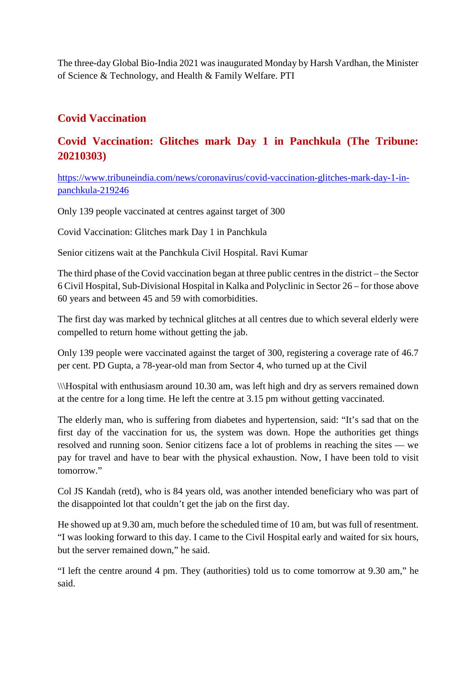The three-day Global Bio-India 2021 was inaugurated Monday by Harsh Vardhan, the Minister of Science & Technology, and Health & Family Welfare. PTI

#### **Covid Vaccination**

#### **Covid Vaccination: Glitches mark Day 1 in Panchkula (The Tribune: 20210303)**

https://www.tribuneindia.com/news/coronavirus/covid-vaccination-glitches-mark-day-1-inpanchkula-219246

Only 139 people vaccinated at centres against target of 300

Covid Vaccination: Glitches mark Day 1 in Panchkula

Senior citizens wait at the Panchkula Civil Hospital. Ravi Kumar

The third phase of the Covid vaccination began at three public centres in the district – the Sector 6 Civil Hospital, Sub-Divisional Hospital in Kalka and Polyclinic in Sector 26 – for those above 60 years and between 45 and 59 with comorbidities.

The first day was marked by technical glitches at all centres due to which several elderly were compelled to return home without getting the jab.

Only 139 people were vaccinated against the target of 300, registering a coverage rate of 46.7 per cent. PD Gupta, a 78-year-old man from Sector 4, who turned up at the Civil

\\\Hospital with enthusiasm around 10.30 am, was left high and dry as servers remained down at the centre for a long time. He left the centre at 3.15 pm without getting vaccinated.

The elderly man, who is suffering from diabetes and hypertension, said: "It's sad that on the first day of the vaccination for us, the system was down. Hope the authorities get things resolved and running soon. Senior citizens face a lot of problems in reaching the sites — we pay for travel and have to bear with the physical exhaustion. Now, I have been told to visit tomorrow."

Col JS Kandah (retd), who is 84 years old, was another intended beneficiary who was part of the disappointed lot that couldn't get the jab on the first day.

He showed up at 9.30 am, much before the scheduled time of 10 am, but was full of resentment. "I was looking forward to this day. I came to the Civil Hospital early and waited for six hours, but the server remained down," he said.

"I left the centre around 4 pm. They (authorities) told us to come tomorrow at 9.30 am," he said.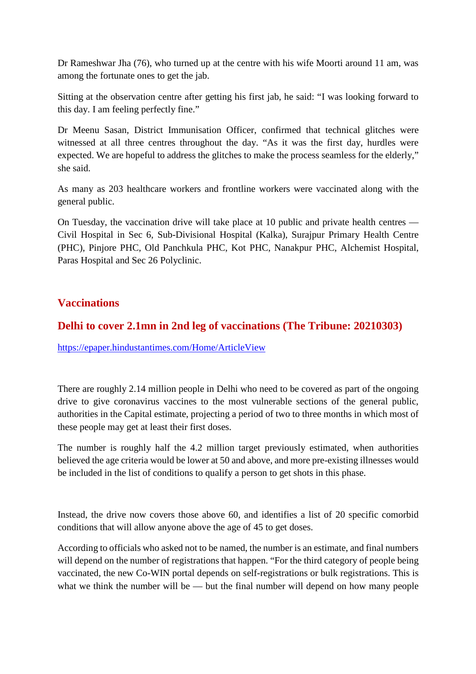Dr Rameshwar Jha (76), who turned up at the centre with his wife Moorti around 11 am, was among the fortunate ones to get the jab.

Sitting at the observation centre after getting his first jab, he said: "I was looking forward to this day. I am feeling perfectly fine."

Dr Meenu Sasan, District Immunisation Officer, confirmed that technical glitches were witnessed at all three centres throughout the day. "As it was the first day, hurdles were expected. We are hopeful to address the glitches to make the process seamless for the elderly," she said.

As many as 203 healthcare workers and frontline workers were vaccinated along with the general public.

On Tuesday, the vaccination drive will take place at 10 public and private health centres — Civil Hospital in Sec 6, Sub-Divisional Hospital (Kalka), Surajpur Primary Health Centre (PHC), Pinjore PHC, Old Panchkula PHC, Kot PHC, Nanakpur PHC, Alchemist Hospital, Paras Hospital and Sec 26 Polyclinic.

#### **Vaccinations**

#### **Delhi to cover 2.1mn in 2nd leg of vaccinations (The Tribune: 20210303)**

https://epaper.hindustantimes.com/Home/ArticleView

There are roughly 2.14 million people in Delhi who need to be covered as part of the ongoing drive to give coronavirus vaccines to the most vulnerable sections of the general public, authorities in the Capital estimate, projecting a period of two to three months in which most of these people may get at least their first doses.

The number is roughly half the 4.2 million target previously estimated, when authorities believed the age criteria would be lower at 50 and above, and more pre-existing illnesses would be included in the list of conditions to qualify a person to get shots in this phase.

Instead, the drive now covers those above 60, and identifies a list of 20 specific comorbid conditions that will allow anyone above the age of 45 to get doses.

According to officials who asked not to be named, the number is an estimate, and final numbers will depend on the number of registrations that happen. "For the third category of people being vaccinated, the new Co-WIN portal depends on self-registrations or bulk registrations. This is what we think the number will be — but the final number will depend on how many people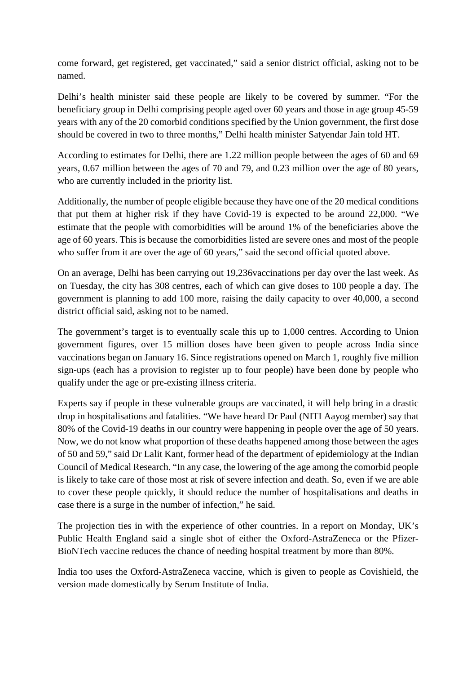come forward, get registered, get vaccinated," said a senior district official, asking not to be named.

Delhi's health minister said these people are likely to be covered by summer. "For the beneficiary group in Delhi comprising people aged over 60 years and those in age group 45-59 years with any of the 20 comorbid conditions specified by the Union government, the first dose should be covered in two to three months," Delhi health minister Satyendar Jain told HT.

According to estimates for Delhi, there are 1.22 million people between the ages of 60 and 69 years, 0.67 million between the ages of 70 and 79, and 0.23 million over the age of 80 years, who are currently included in the priority list.

Additionally, the number of people eligible because they have one of the 20 medical conditions that put them at higher risk if they have Covid-19 is expected to be around 22,000. "We estimate that the people with comorbidities will be around 1% of the beneficiaries above the age of 60 years. This is because the comorbidities listed are severe ones and most of the people who suffer from it are over the age of 60 years," said the second official quoted above.

On an average, Delhi has been carrying out 19,236vaccinations per day over the last week. As on Tuesday, the city has 308 centres, each of which can give doses to 100 people a day. The government is planning to add 100 more, raising the daily capacity to over 40,000, a second district official said, asking not to be named.

The government's target is to eventually scale this up to 1,000 centres. According to Union government figures, over 15 million doses have been given to people across India since vaccinations began on January 16. Since registrations opened on March 1, roughly five million sign-ups (each has a provision to register up to four people) have been done by people who qualify under the age or pre-existing illness criteria.

Experts say if people in these vulnerable groups are vaccinated, it will help bring in a drastic drop in hospitalisations and fatalities. "We have heard Dr Paul (NITI Aayog member) say that 80% of the Covid-19 deaths in our country were happening in people over the age of 50 years. Now, we do not know what proportion of these deaths happened among those between the ages of 50 and 59," said Dr Lalit Kant, former head of the department of epidemiology at the Indian Council of Medical Research. "In any case, the lowering of the age among the comorbid people is likely to take care of those most at risk of severe infection and death. So, even if we are able to cover these people quickly, it should reduce the number of hospitalisations and deaths in case there is a surge in the number of infection," he said.

The projection ties in with the experience of other countries. In a report on Monday, UK's Public Health England said a single shot of either the Oxford-AstraZeneca or the Pfizer-BioNTech vaccine reduces the chance of needing hospital treatment by more than 80%.

India too uses the Oxford-AstraZeneca vaccine, which is given to people as Covishield, the version made domestically by Serum Institute of India.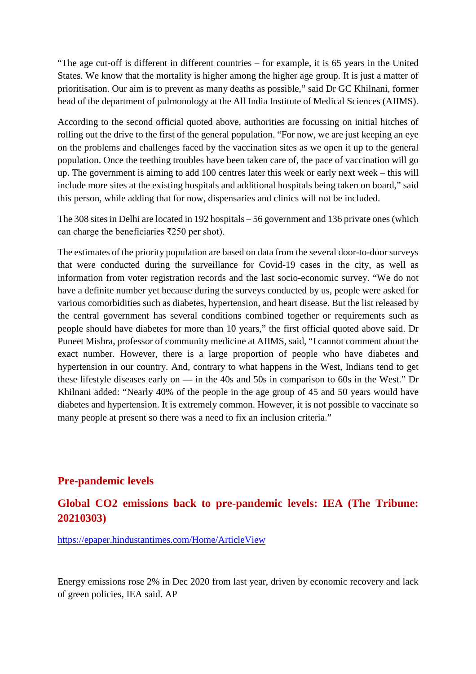"The age cut-off is different in different countries – for example, it is 65 years in the United States. We know that the mortality is higher among the higher age group. It is just a matter of prioritisation. Our aim is to prevent as many deaths as possible," said Dr GC Khilnani, former head of the department of pulmonology at the All India Institute of Medical Sciences (AIIMS).

According to the second official quoted above, authorities are focussing on initial hitches of rolling out the drive to the first of the general population. "For now, we are just keeping an eye on the problems and challenges faced by the vaccination sites as we open it up to the general population. Once the teething troubles have been taken care of, the pace of vaccination will go up. The government is aiming to add 100 centres later this week or early next week – this will include more sites at the existing hospitals and additional hospitals being taken on board," said this person, while adding that for now, dispensaries and clinics will not be included.

The 308 sites in Delhi are located in 192 hospitals – 56 government and 136 private ones (which can charge the beneficiaries ₹250 per shot).

The estimates of the priority population are based on data from the several door-to-door surveys that were conducted during the surveillance for Covid-19 cases in the city, as well as information from voter registration records and the last socio-economic survey. "We do not have a definite number yet because during the surveys conducted by us, people were asked for various comorbidities such as diabetes, hypertension, and heart disease. But the list released by the central government has several conditions combined together or requirements such as people should have diabetes for more than 10 years," the first official quoted above said. Dr Puneet Mishra, professor of community medicine at AIIMS, said, "I cannot comment about the exact number. However, there is a large proportion of people who have diabetes and hypertension in our country. And, contrary to what happens in the West, Indians tend to get these lifestyle diseases early on — in the 40s and 50s in comparison to 60s in the West." Dr Khilnani added: "Nearly 40% of the people in the age group of 45 and 50 years would have diabetes and hypertension. It is extremely common. However, it is not possible to vaccinate so many people at present so there was a need to fix an inclusion criteria."

#### **Pre-pandemic levels**

#### **Global CO2 emissions back to pre-pandemic levels: IEA (The Tribune: 20210303)**

https://epaper.hindustantimes.com/Home/ArticleView

Energy emissions rose 2% in Dec 2020 from last year, driven by economic recovery and lack of green policies, IEA said. AP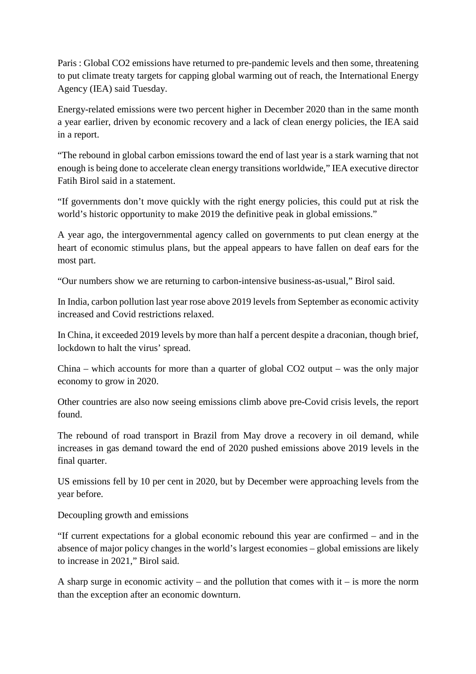Paris : Global CO2 emissions have returned to pre-pandemic levels and then some, threatening to put climate treaty targets for capping global warming out of reach, the International Energy Agency (IEA) said Tuesday.

Energy-related emissions were two percent higher in December 2020 than in the same month a year earlier, driven by economic recovery and a lack of clean energy policies, the IEA said in a report.

"The rebound in global carbon emissions toward the end of last year is a stark warning that not enough is being done to accelerate clean energy transitions worldwide," IEA executive director Fatih Birol said in a statement.

"If governments don't move quickly with the right energy policies, this could put at risk the world's historic opportunity to make 2019 the definitive peak in global emissions."

A year ago, the intergovernmental agency called on governments to put clean energy at the heart of economic stimulus plans, but the appeal appears to have fallen on deaf ears for the most part.

"Our numbers show we are returning to carbon-intensive business-as-usual," Birol said.

In India, carbon pollution last year rose above 2019 levels from September as economic activity increased and Covid restrictions relaxed.

In China, it exceeded 2019 levels by more than half a percent despite a draconian, though brief, lockdown to halt the virus' spread.

China – which accounts for more than a quarter of global CO2 output – was the only major economy to grow in 2020.

Other countries are also now seeing emissions climb above pre-Covid crisis levels, the report found.

The rebound of road transport in Brazil from May drove a recovery in oil demand, while increases in gas demand toward the end of 2020 pushed emissions above 2019 levels in the final quarter.

US emissions fell by 10 per cent in 2020, but by December were approaching levels from the year before.

Decoupling growth and emissions

"If current expectations for a global economic rebound this year are confirmed – and in the absence of major policy changes in the world's largest economies – global emissions are likely to increase in 2021," Birol said.

A sharp surge in economic activity – and the pollution that comes with  $it - is$  more the norm than the exception after an economic downturn.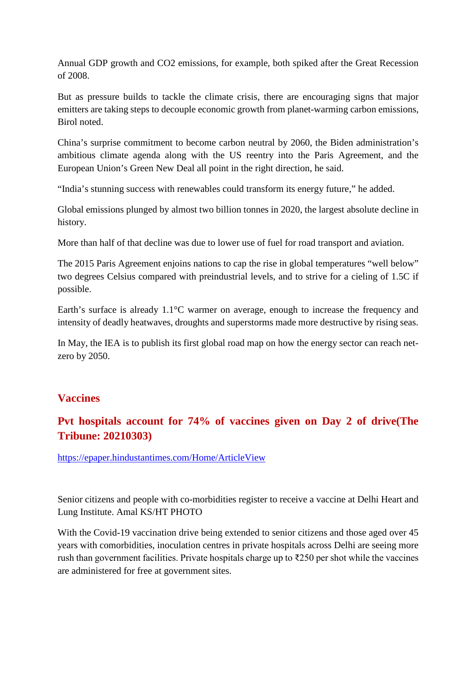Annual GDP growth and CO2 emissions, for example, both spiked after the Great Recession of 2008.

But as pressure builds to tackle the climate crisis, there are encouraging signs that major emitters are taking steps to decouple economic growth from planet-warming carbon emissions, Birol noted.

China's surprise commitment to become carbon neutral by 2060, the Biden administration's ambitious climate agenda along with the US reentry into the Paris Agreement, and the European Union's Green New Deal all point in the right direction, he said.

"India's stunning success with renewables could transform its energy future," he added.

Global emissions plunged by almost two billion tonnes in 2020, the largest absolute decline in history.

More than half of that decline was due to lower use of fuel for road transport and aviation.

The 2015 Paris Agreement enjoins nations to cap the rise in global temperatures "well below" two degrees Celsius compared with preindustrial levels, and to strive for a cieling of 1.5C if possible.

Earth's surface is already  $1.1^{\circ}$ C warmer on average, enough to increase the frequency and intensity of deadly heatwaves, droughts and superstorms made more destructive by rising seas.

In May, the IEA is to publish its first global road map on how the energy sector can reach netzero by 2050.

#### **Vaccines**

#### **Pvt hospitals account for 74% of vaccines given on Day 2 of drive(The Tribune: 20210303)**

https://epaper.hindustantimes.com/Home/ArticleView

Senior citizens and people with co-morbidities register to receive a vaccine at Delhi Heart and Lung Institute. Amal KS/HT PHOTO

With the Covid-19 vaccination drive being extended to senior citizens and those aged over 45 years with comorbidities, inoculation centres in private hospitals across Delhi are seeing more rush than government facilities. Private hospitals charge up to  $\overline{2}250$  per shot while the vaccines are administered for free at government sites.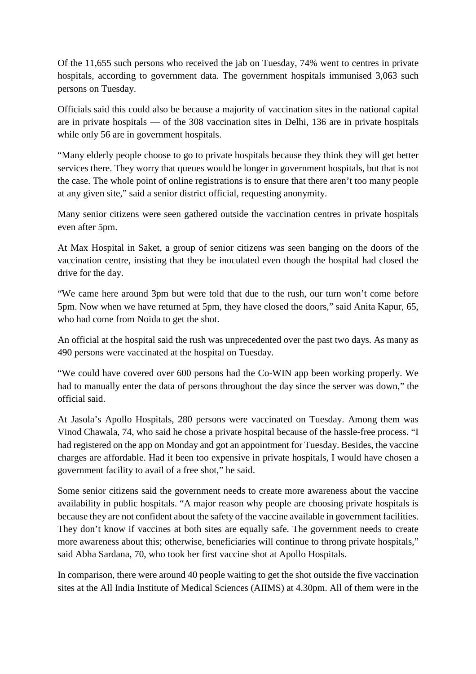Of the 11,655 such persons who received the jab on Tuesday, 74% went to centres in private hospitals, according to government data. The government hospitals immunised 3,063 such persons on Tuesday.

Officials said this could also be because a majority of vaccination sites in the national capital are in private hospitals — of the 308 vaccination sites in Delhi, 136 are in private hospitals while only 56 are in government hospitals.

"Many elderly people choose to go to private hospitals because they think they will get better services there. They worry that queues would be longer in government hospitals, but that is not the case. The whole point of online registrations is to ensure that there aren't too many people at any given site," said a senior district official, requesting anonymity.

Many senior citizens were seen gathered outside the vaccination centres in private hospitals even after 5pm.

At Max Hospital in Saket, a group of senior citizens was seen banging on the doors of the vaccination centre, insisting that they be inoculated even though the hospital had closed the drive for the day.

"We came here around 3pm but were told that due to the rush, our turn won't come before 5pm. Now when we have returned at 5pm, they have closed the doors," said Anita Kapur, 65, who had come from Noida to get the shot.

An official at the hospital said the rush was unprecedented over the past two days. As many as 490 persons were vaccinated at the hospital on Tuesday.

"We could have covered over 600 persons had the Co-WIN app been working properly. We had to manually enter the data of persons throughout the day since the server was down," the official said.

At Jasola's Apollo Hospitals, 280 persons were vaccinated on Tuesday. Among them was Vinod Chawala, 74, who said he chose a private hospital because of the hassle-free process. "I had registered on the app on Monday and got an appointment for Tuesday. Besides, the vaccine charges are affordable. Had it been too expensive in private hospitals, I would have chosen a government facility to avail of a free shot," he said.

Some senior citizens said the government needs to create more awareness about the vaccine availability in public hospitals. "A major reason why people are choosing private hospitals is because they are not confident about the safety of the vaccine available in government facilities. They don't know if vaccines at both sites are equally safe. The government needs to create more awareness about this; otherwise, beneficiaries will continue to throng private hospitals," said Abha Sardana, 70, who took her first vaccine shot at Apollo Hospitals.

In comparison, there were around 40 people waiting to get the shot outside the five vaccination sites at the All India Institute of Medical Sciences (AIIMS) at 4.30pm. All of them were in the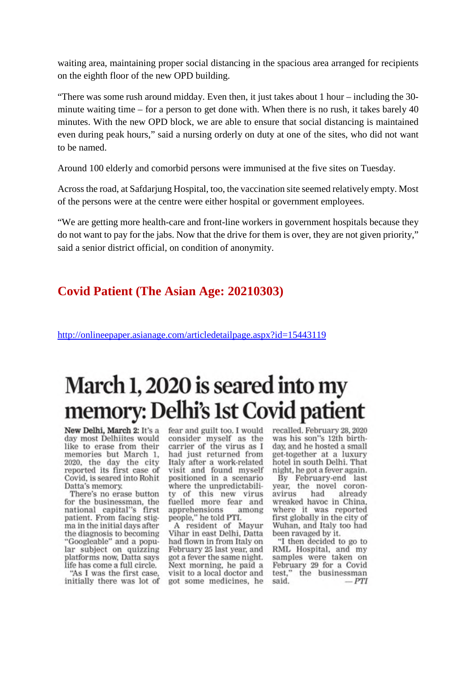waiting area, maintaining proper social distancing in the spacious area arranged for recipients on the eighth floor of the new OPD building.

"There was some rush around midday. Even then, it just takes about 1 hour – including the 30 minute waiting time – for a person to get done with. When there is no rush, it takes barely 40 minutes. With the new OPD block, we are able to ensure that social distancing is maintained even during peak hours," said a nursing orderly on duty at one of the sites, who did not want to be named.

Around 100 elderly and comorbid persons were immunised at the five sites on Tuesday.

Across the road, at Safdarjung Hospital, too, the vaccination site seemed relatively empty. Most of the persons were at the centre were either hospital or government employees.

"We are getting more health-care and front-line workers in government hospitals because they do not want to pay for the jabs. Now that the drive for them is over, they are not given priority," said a senior district official, on condition of anonymity.

#### **Covid Patient (The Asian Age: 20210303)**

http://onlineepaper.asianage.com/articledetailpage.aspx?id=15443119

## March 1, 2020 is seared into my memory: Delhi's 1st Covid patient

New Delhi, March 2: It's a day most Delhiites would like to erase from their memories but March 1, 2020, the day the city reported its first case of Covid, is seared into Rohit Datta's memory.

There's no erase button for the businessman, the national capital"s first patient. From facing stigma in the initial days after the diagnosis to becoming "Googleable" and a popular subject on quizzing platforms now, Datta says life has come a full circle.

"As I was the first case. initially there was lot of

fear and guilt too. I would consider myself as the carrier of the virus as I had just returned from Italy after a work-related visit and found myself positioned in a scenario where the unpredictability of this new virus fuelled more fear and apprehensions among people," he told PTI.

A resident of Mayur Vihar in east Delhi, Datta had flown in from Italy on February 25 last year, and got a fever the same night. Next morning, he paid a visit to a local doctor and got some medicines, he

recalled. February 28, 2020 was his son"s 12th birthday, and he hosted a small get-together at a luxury hotel in south Delhi. That night, he got a fever again.

By February-end last year, the novel coronavirus had already wreaked havoc in China, where it was reported first globally in the city of Wuhan, and Italy too had been ravaged by it.

"I then decided to go to RML Hospital, and my samples were taken on<br>February 29 for a Covid test," the businessman said.  $-PTI$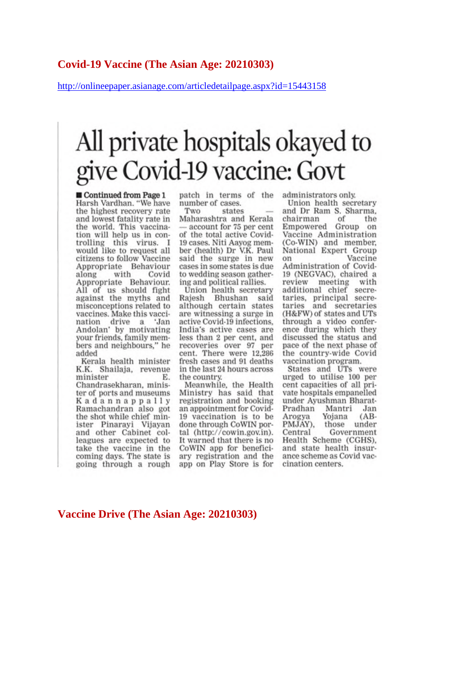#### Covid-19 Vaccine (The Asian Age: 20210303)

http://onlineepaper.asianage.com/articledetailpage.aspx?id=15443158

## All private hospitals okayed to give Covid-19 vaccine: Govt

Continued from Page 1 Harsh Vardhan. "We have the highest recovery rate and lowest fatality rate in the world. This vaccination will help us in controlling this virus. I<br>would like to request all citizens to follow Vaccine Appropriate Behaviour with Covid along Appropriate Behaviour. All of us should fight against the myths and misconceptions related to vaccines. Make this vaccination drive a 'Jan Andolan' by motivating your friends, family members and neighbours," he added

Kerala health minister K.K. Shailaja, revenue minister Е. Chandrasekharan, minister of ports and museums Kadannappally Ramachandran also got the shot while chief minister Pinarayi Vijayan and other Cabinet colleagues are expected to take the vaccine in the coming days. The state is going through a rough patch in terms of the number of cases.

Two states Maharashtra and Kerala account for 75 per cent of the total active Covid-19 cases. Niti Aayog member (health) Dr V.K. Paul said the surge in new cases in some states is due to wedding season gathering and political rallies.

Union health secretary Rajesh Bhushan said although certain states are witnessing a surge in active Covid-19 infections. India's active cases are less than 2 per cent, and recoveries over 97 per cent. There were 12,286 fresh cases and 91 deaths in the last 24 hours across the country.

Meanwhile, the Health Ministry has said that registration and booking an appointment for Covid-19 vaccination is to be done through CoWIN portal (http://cowin.gov.in). It warned that there is no CoWIN app for beneficiary registration and the app on Play Store is for

administrators only.

Union health secretary and Dr Ram S. Sharma, chairman of the Empowered Group on Vaccine Administration (Co-WIN) and member. National Expert Group Vaccine on Administration of Covid-19 (NEGVAC), chaired a review meeting with additional chief secretaries, principal secretaries and secretaries (H&FW) of states and UTs through a video conference during which they discussed the status and pace of the next phase of the country-wide Covid vaccination program.

States and UTs were urged to utilise 100 per<br>cent capacities of all private hospitals empanelled under Ayushman Bharat-Pradhan Mantri Jan Yojana Arogya  $(AB -$ PMJAY), those under Government Central Health Scheme (CGHS), and state health insurance scheme as Covid vaccination centers.

#### Vaccine Drive (The Asian Age: 20210303)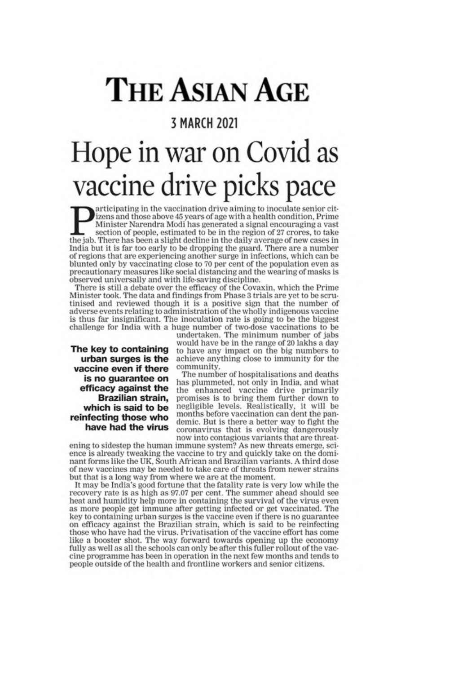## **THE ASIAN AGE**

#### **3 MARCH 2021**

## Hope in war on Covid as vaccine drive picks pace

articipating in the vaccination drive aiming to inoculate senior citizens and those above 45 years of age with a health condition, Prime Minister Narendra Modi has generated a signal encouraging a vast section of people, estimated to be in the region of 27 crores, to take the jab. There has been a slight decline in the daily average of new cases in India but it is far too early to be dropping the guard. There are a number of regions that are experiencing another surge in infections, which can be blunted only by vaccinating close to 70 per cent of the population even as precautionary measures like social distancing and the wearing of masks is observed universally and with life-saving discipline.

There is still a debate over the efficacy of the Covaxin, which the Prime Minister took. The data and findings from Phase 3 trials are yet to be scrutinised and reviewed though it is a positive sign that the number of adverse events relating to administration of the wholly indigenous vaccine is thus far insignificant. The inoculation rate is going to be the biggest challenge for India with a huge number of two-dose vaccinations to be undertaken. The minimum number of jabs

The key to containing urban surges is the vaccine even if there is no guarantee on efficacy against the Brazilian strain, which is said to be reinfecting those who have had the virus

would have be in the range of 20 lakhs a day to have any impact on the big numbers to achieve anything close to immunity for the community.

The number of hospitalisations and deaths has plummeted, not only in India, and what the enhanced vaccine drive primarily<br>promises is to bring them further down to negligible levels. Realistically, it will be months before vaccination can dent the pandemic. But is there a better way to fight the coronavirus that is evolving dangerously now into contagious variants that are threat-

ening to sidestep the human immune system? As new threats emerge, science is already tweaking the vaccine to try and quickly take on the dominant forms like the UK, South African and Brazilian variants. A third dose of new vaccines may be needed to take care of threats from newer strains but that is a long way from where we are at the moment.

It may be India's good fortune that the fatality rate is very low while the recovery rate is as high as 97.07 per cent. The summer ahead should see heat and humidity help more in containing the survival of the virus even as more people get immune after getting infected or get vaccinated. The key to containing urban surges is the vaccine even if there is no guarantee on efficacy against the Brazilian strain, which is said to be reinfecting those who have had the virus. Privatisation of the vaccine effort has come like a booster shot. The way forward towards opening up the economy fully as well as all the schools can only be after this fuller rollout of the vaccine programme has been in operation in the next few months and tends to people outside of the health and frontline workers and senior citizens.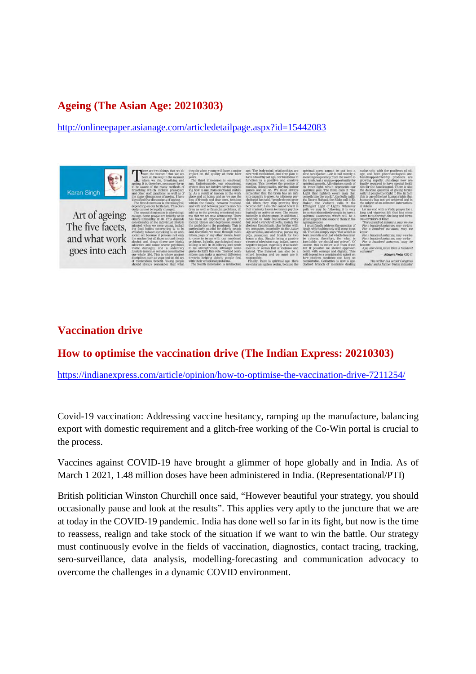#### **Ageing (The Asian Age: 20210303)**

http://onlineepaper.asianage.com/articledetailpage.aspx?id=15442083

Karan Singh Art of ageing: The five facets. and what work goes into each

#### **Vaccination drive**

#### **How to optimise the vaccination drive (The Indian Express: 20210303)**

https://indianexpress.com/article/opinion/how-to-optimise-the-vaccination-drive-7211254/

Covid-19 vaccination: Addressing vaccine hesitancy, ramping up the manufacture, balancing export with domestic requirement and a glitch-free working of the Co-Win portal is crucial to the process.

Vaccines against COVID-19 have brought a glimmer of hope globally and in India. As of March 1 2021, 1.48 million doses have been administered in India. (Representational/PTI)

British politician Winston Churchill once said, "However beautiful your strategy, you should occasionally pause and look at the results". This applies very aptly to the juncture that we are at today in the COVID-19 pandemic. India has done well so far in its fight, but now is the time to reassess, realign and take stock of the situation if we want to win the battle. Our strategy must continuously evolve in the fields of vaccination, diagnostics, contact tracing, tracking, sero-surveillance, data analysis, modelling-forecasting and communication advocacy to overcome the challenges in a dynamic COVID environment.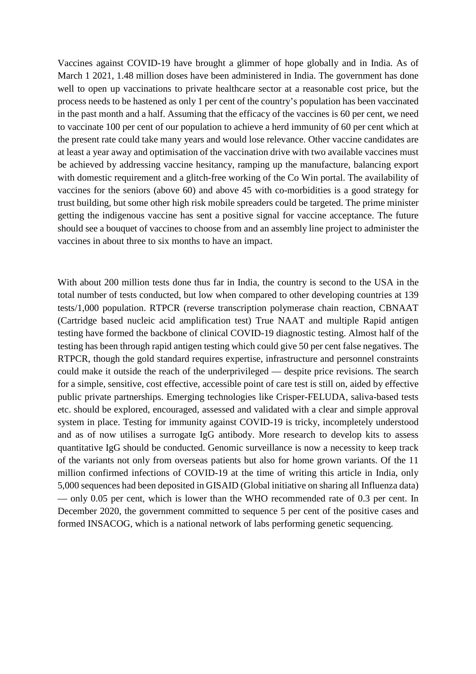Vaccines against COVID-19 have brought a glimmer of hope globally and in India. As of March 1 2021, 1.48 million doses have been administered in India. The government has done well to open up vaccinations to private healthcare sector at a reasonable cost price, but the process needs to be hastened as only 1 per cent of the country's population has been vaccinated in the past month and a half. Assuming that the efficacy of the vaccines is 60 per cent, we need to vaccinate 100 per cent of our population to achieve a herd immunity of 60 per cent which at the present rate could take many years and would lose relevance. Other vaccine candidates are at least a year away and optimisation of the vaccination drive with two available vaccines must be achieved by addressing vaccine hesitancy, ramping up the manufacture, balancing export with domestic requirement and a glitch-free working of the Co Win portal. The availability of vaccines for the seniors (above 60) and above 45 with co-morbidities is a good strategy for trust building, but some other high risk mobile spreaders could be targeted. The prime minister getting the indigenous vaccine has sent a positive signal for vaccine acceptance. The future should see a bouquet of vaccines to choose from and an assembly line project to administer the vaccines in about three to six months to have an impact.

With about 200 million tests done thus far in India, the country is second to the USA in the total number of tests conducted, but low when compared to other developing countries at 139 tests/1,000 population. RTPCR (reverse transcription polymerase chain reaction, CBNAAT (Cartridge based nucleic acid amplification test) True NAAT and multiple Rapid antigen testing have formed the backbone of clinical COVID-19 diagnostic testing. Almost half of the testing has been through rapid antigen testing which could give 50 per cent false negatives. The RTPCR, though the gold standard requires expertise, infrastructure and personnel constraints could make it outside the reach of the underprivileged — despite price revisions. The search for a simple, sensitive, cost effective, accessible point of care test is still on, aided by effective public private partnerships. Emerging technologies like Crisper-FELUDA, saliva-based tests etc. should be explored, encouraged, assessed and validated with a clear and simple approval system in place. Testing for immunity against COVID-19 is tricky, incompletely understood and as of now utilises a surrogate IgG antibody. More research to develop kits to assess quantitative IgG should be conducted. Genomic surveillance is now a necessity to keep track of the variants not only from overseas patients but also for home grown variants. Of the 11 million confirmed infections of COVID-19 at the time of writing this article in India, only 5,000 sequences had been deposited in GISAID (Global initiative on sharing all Influenza data) — only 0.05 per cent, which is lower than the WHO recommended rate of 0.3 per cent. In December 2020, the government committed to sequence 5 per cent of the positive cases and formed INSACOG, which is a national network of labs performing genetic sequencing.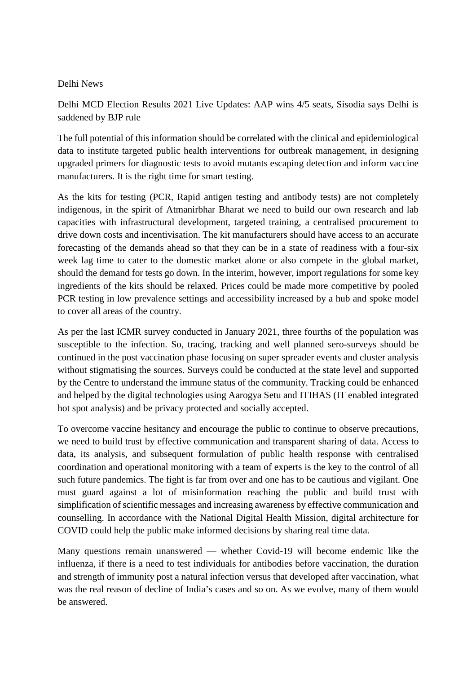#### Delhi News

Delhi MCD Election Results 2021 Live Updates: AAP wins 4/5 seats, Sisodia says Delhi is saddened by BJP rule

The full potential of this information should be correlated with the clinical and epidemiological data to institute targeted public health interventions for outbreak management, in designing upgraded primers for diagnostic tests to avoid mutants escaping detection and inform vaccine manufacturers. It is the right time for smart testing.

As the kits for testing (PCR, Rapid antigen testing and antibody tests) are not completely indigenous, in the spirit of Atmanirbhar Bharat we need to build our own research and lab capacities with infrastructural development, targeted training, a centralised procurement to drive down costs and incentivisation. The kit manufacturers should have access to an accurate forecasting of the demands ahead so that they can be in a state of readiness with a four-six week lag time to cater to the domestic market alone or also compete in the global market, should the demand for tests go down. In the interim, however, import regulations for some key ingredients of the kits should be relaxed. Prices could be made more competitive by pooled PCR testing in low prevalence settings and accessibility increased by a hub and spoke model to cover all areas of the country.

As per the last ICMR survey conducted in January 2021, three fourths of the population was susceptible to the infection. So, tracing, tracking and well planned sero-surveys should be continued in the post vaccination phase focusing on super spreader events and cluster analysis without stigmatising the sources. Surveys could be conducted at the state level and supported by the Centre to understand the immune status of the community. Tracking could be enhanced and helped by the digital technologies using Aarogya Setu and ITIHAS (IT enabled integrated hot spot analysis) and be privacy protected and socially accepted.

To overcome vaccine hesitancy and encourage the public to continue to observe precautions, we need to build trust by effective communication and transparent sharing of data. Access to data, its analysis, and subsequent formulation of public health response with centralised coordination and operational monitoring with a team of experts is the key to the control of all such future pandemics. The fight is far from over and one has to be cautious and vigilant. One must guard against a lot of misinformation reaching the public and build trust with simplification of scientific messages and increasing awareness by effective communication and counselling. In accordance with the National Digital Health Mission, digital architecture for COVID could help the public make informed decisions by sharing real time data.

Many questions remain unanswered — whether Covid-19 will become endemic like the influenza, if there is a need to test individuals for antibodies before vaccination, the duration and strength of immunity post a natural infection versus that developed after vaccination, what was the real reason of decline of India's cases and so on. As we evolve, many of them would be answered.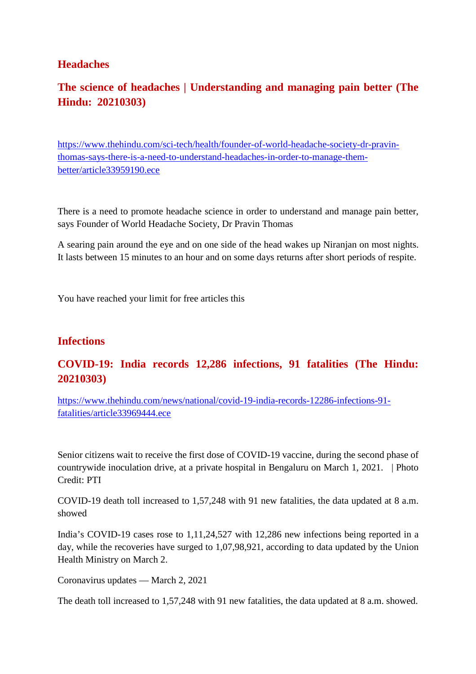#### **Headaches**

### **The science of headaches | Understanding and managing pain better (The Hindu: 20210303)**

https://www.thehindu.com/sci-tech/health/founder-of-world-headache-society-dr-pravinthomas-says-there-is-a-need-to-understand-headaches-in-order-to-manage-thembetter/article33959190.ece

There is a need to promote headache science in order to understand and manage pain better, says Founder of World Headache Society, Dr Pravin Thomas

A searing pain around the eye and on one side of the head wakes up Niranjan on most nights. It lasts between 15 minutes to an hour and on some days returns after short periods of respite.

You have reached your limit for free articles this

#### **Infections**

#### **COVID-19: India records 12,286 infections, 91 fatalities (The Hindu: 20210303)**

https://www.thehindu.com/news/national/covid-19-india-records-12286-infections-91 fatalities/article33969444.ece

Senior citizens wait to receive the first dose of COVID-19 vaccine, during the second phase of countrywide inoculation drive, at a private hospital in Bengaluru on March 1, 2021. | Photo Credit: PTI

COVID-19 death toll increased to 1,57,248 with 91 new fatalities, the data updated at 8 a.m. showed

India's COVID-19 cases rose to 1,11,24,527 with 12,286 new infections being reported in a day, while the recoveries have surged to 1,07,98,921, according to data updated by the Union Health Ministry on March 2.

Coronavirus updates — March 2, 2021

The death toll increased to 1,57,248 with 91 new fatalities, the data updated at 8 a.m. showed.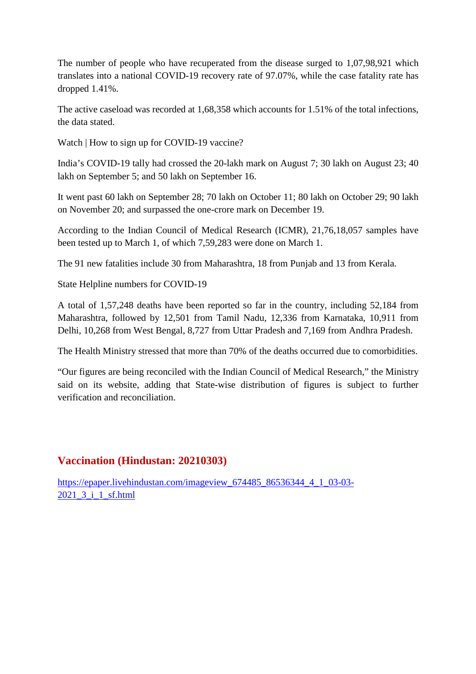The number of people who have recuperated from the disease surged to 1,07,98,921 which translates into a national COVID-19 recovery rate of 97.07%, while the case fatality rate has dropped 1.41%.

The active caseload was recorded at 1,68,358 which accounts for 1.51% of the total infections, the data stated.

Watch | How to sign up for COVID-19 vaccine?

India's COVID-19 tally had crossed the 20-lakh mark on August 7; 30 lakh on August 23; 40 lakh on September 5; and 50 lakh on September 16.

It went past 60 lakh on September 28; 70 lakh on October 11; 80 lakh on October 29; 90 lakh on November 20; and surpassed the one-crore mark on December 19.

According to the Indian Council of Medical Research (ICMR), 21,76,18,057 samples have been tested up to March 1, of which 7,59,283 were done on March 1.

The 91 new fatalities include 30 from Maharashtra, 18 from Punjab and 13 from Kerala.

State Helpline numbers for COVID-19

A total of 1,57,248 deaths have been reported so far in the country, including 52,184 from Maharashtra, followed by 12,501 from Tamil Nadu, 12,336 from Karnataka, 10,911 from Delhi, 10,268 from West Bengal, 8,727 from Uttar Pradesh and 7,169 from Andhra Pradesh.

The Health Ministry stressed that more than 70% of the deaths occurred due to comorbidities.

"Our figures are being reconciled with the Indian Council of Medical Research," the Ministry said on its website, adding that State-wise distribution of figures is subject to further verification and reconciliation.

#### **Vaccination (Hindustan: 20210303)**

https://epaper.livehindustan.com/imageview\_674485\_86536344\_4\_1\_03-03-2021\_3\_i\_1\_sf.html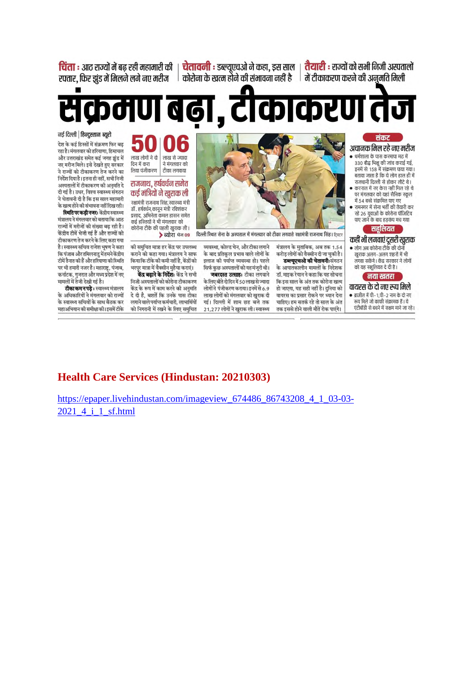<mark>चिंता</mark> : आट राज्यों में बढ़ रही महामारी की | **चेतावनी :** डब्ल्यएचओ ने कहा. डस साल | **तैयारी** : राज्यों को सभी निजी अस्पतालों

रफ्तार, फिर झुंड में मिलने लगे नए मरीज <sup>|</sup> कोरोना के खत्म होने की संभावना नहीं है | में टीकाकरण करने की अनुमति मिली

देश के कई हिस्सों में संक्रमण फिर बढ़

रहा है। मंगलवार को हरियाणा, हिमाचल

और उत्तराखंड समेत कई जगह झुंड में

नए मरीज मिले। इसे देखते हुए सरकार ने राज्यों को टीकाकरण तेज करने का

निर्देश दिया है। इतना ही नहीं, सभी निजी

अस्पतालों में टीकाकरण की अनमति दे

दी गई है। उधर, विश्व स्वास्थ्य संगठन

ने चेतावनी दी है कि इस साल महामारी

.<br>के खत्म होने की संभावना नहीं दिख रही।

मंत्रालय ने मंगलवार को बताया कि आत

गच्चों में मगेजों की संख्या बढ़ रही है।

.<br>केंदीय टीमें भेजी गई हैं और राज्यों को

टीकाकरण तेज करने के लिए कहा गया है। स्वास्थ्य सचिव राजेश भूषण ने कहा

कि पंजाब और तमिलनाडु में हमने केंद्रीय

टीमें तैनात की हैं और हरियाणा की स्थिति

पर भी हमारी नजर है। महाराष्ट्र, पंजाब,

मामलों में तेजी देखी गई है।

**स्थिति पर कडी नजर:** केंद्रीय स्वास्थ्य

#### ण बढ़ा , टाकाकरण तेज pol  $\mathbf C$ नई दिल्ली | हिन्दुस्तान ब्यूरो

#### अचानक मिल रहे नए मरीज

- धर्मशाला के पास करमापा मद में वनसाला के बाल करनावा नेउन<br>330 बौद्ध भिक्षु की जांच कराई गई,<br>इनमें से 158 में संक्रमण पाया गया। बताया जाता है कि ये लोग हाल ही में राजधानी दिल्ली से होकर लौटे थे।
- करनाल में नए केस नहीं मिल रहे थे पर मंगलवार को यहां सैनिक स्कल में 54 बच्चे संक्रमित पाए गए
- रामनगर में सेना भर्ती की तैयारी कर रहे 26 युवाओं के कोरोना पॉजिटिव पाए जाने के बाद हडकंप मच गया

#### सहलियत

#### कहीं भी लगवाएं दूसरी खुराक

• लोग अब कोरोना टीके की दोनों खुराक अलग-अलग शहरों में भी लगवा सकेंगे। केंद्र सरकार ने लोगों को यह सहूलियत दे दी है।

#### नया खतरा

#### वायरस के दो नए रूप मिले

• ब्राजील में पी–1.पी–2 नाम के दो नए रूप मिले जो काफी संक्रामक हैं । ये एंटीबॉडी से बचने में सक्षम माने जा रहे।



दिल्ली स्थित सेना के अस्पताल में मंगलवार को टीका लगवाते रक्षामंत्री राजनाथ सिंह। टिवटर

डब्ल्यूएचओ की चेतावनीःसंगठन

कि इस साल के अंत तक कोरोना खत्म

हो जाएगा. यह सही नहीं है। दनिया को

वायरस का प्रसार रोकने पर ध्यान देना

चाहिए। हम सतर्क रहे तो साल के अंत

तक इससे होने वाली मौतें रोक पाएंगे।

व्यवस्था, कोल्ड चेन, और टीका लगाने मंत्रालय के मुताबिक, अब तक 1.54 करोड लोगों को वैक्सीन दी जा चुकी है। के आपातकालीन मामलों के निदेशक डॉ. माइक रेवान ने कहा कि यह सोचना

के लिए बीते दो दिन में 50 लाख से ज्यादा लोगों ने पंजीकरण कराया। इनमें से 6.9 लाख लोगों को मंगलवार को खुराक दी गई। दिल्ली में शाम छह बजे तक 21,277 लोगों ने खुराक ली। स्वास्थ्य

के बाद प्रतिकूल प्रभाव वाले लोगों के इलाज की पर्याप्त व्यवस्था हो। पहले .<br>सिर्फ कुछ अस्पतालों को वह मंजूरी थी। **जबरदस्त उत्साहः** टीका लगवाने

.<br>**केंद्र बढ़ाने के निर्देशः** केंद्र ने सभी

कर्नाटक, गुजरात और मध्य प्रदेश में नए

लाख लोगों ने दो

लिया पंजीकरण

दिन में करा

कोरोना टीके की पहली खुराक ली। ▶ ब्योरा पेज 09 की समुचित मात्रा हर केंद्र पर उपलब्ध कराने को कहा गया। मंत्रालय ने साफ कियाकि टीके की कमी नहीं है, केंद्रों को भरपूर मात्रा में वैक्सीन मुहैया कराएं।

निजी अस्पतालों को कोरोना टीकाकरण टीका कम न पडे: स्वास्थ्य मंत्रालय केंद्र के रूप में काम करने की अनमति .<br>के अधिकारियों ने मंगलवार को राज्यों दे दी है. बशतें कि उनके पास टीका .<br>के स्वास्थ्य सचिवों के साथ बैठक कर लगाने वाले पर्याप्त कर्मचारी, लाभार्थियों महाअभियान की समीक्षा की। दसमें टीके को निगरानी में रखने के लिए समुचित

#### **Health Care Services (Hindustan: 20210303)**

https://epaper.livehindustan.com/imageview 674486 86743208 4 1 03-03-2021 4 i 1 sf.html